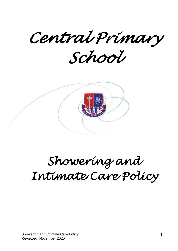*Central Primary School* 



# *Showering and Intimate Care Policy*

Showering and Intimate Care Policy Reviewed: November 2020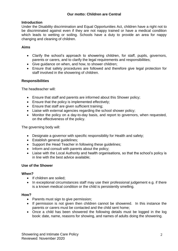# **Introduction**

Under the Disability discrimination and Equal Opportunities Act, children have a right not to be discriminated against even if they are not nappy trained or have a medical condition which leads to wetting or soiling. Schools have a duty to provide an area for nappy changing and cleaning of children.

# **Aims**

- Clarify the school's approach to showering children, for staff, pupils, governors, parents or carers, and to clarify the legal requirements and responsibilities;
- Give guidance on when, and how, to shower children;
- Ensure that safety procedures are followed and therefore give legal protection for staff involved in the showering of children.

# **Responsibilities**

The headteacher will:

- Ensure that staff and parents are informed about this Shower policy;
- **Ensure that the policy is implemented effectively;**
- Ensure that staff are given sufficient training;
- Liaise with external agencies regarding the school shower policy;
- Monitor the policy on a day-to-day basis, and report to governors, when requested, on the effectiveness of the policy.

The governing body will:

- Designate a governor with specific responsibility for Health and safety;
- Establish general quidelines:
- Support the Head Teacher in following these guidelines;
- Inform and consult with parents about the policy;
- Liaise with the Local Authority and health organisations, so that the school's policy is in line with the best advice available;

## **Use of the Shower**

## **When?**

- If children are soiled:
- In exceptional circumstances staff may use their professional judgement e.g. if there is a known medical condition or the child is persistently smelling.

## **How?**

- Parents must sign to give permission;
- If permission is not given then children cannot be showered. In this instance the parents or carers must be contacted and the child sent home;
- Once a child has been showered the following details must be logged in the log book: date, name, reasons for showing, and names of adults doing the showering.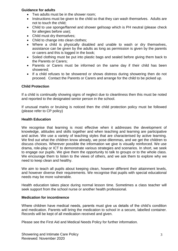# **Guidance for adults**

- Two adults must be in the shower room;
- Instructions must be given to the child so that they can wash themselves. Adults are not to touch the child;
- Child to use sponge/flannel and shower gel/soap which is PH neutral (please check for allergies before use);
- Child must dry themselves;
- Child to change into clean clothes;
- Where a child is physically disabled and unable to wash or dry themselves, assistance can be given by the adults as long as permission is given by the parents or carers and this is logged in the book;
- Soiled clothing must be put into plastic bags and sealed before giving them back to the Parents or Carers;
- Parents or Carers must be informed on the same day if their child has been showered;
- If a child refuses to be showered or shows distress during showering then do not proceed. Contact the Parents or Carers and arrange for the child to be picked up.

## **Child Protection**

If a child is continually showing signs of neglect due to cleanliness then this must be noted and reported to the designated senior person in the school.

If unusual marks or bruising is noticed then the child protection policy must be followed (please refer to CP policy)

#### **Health Education**

We recognise that learning is most effective when it addresses the development of knowledge, attitudes and skills together and when teaching and learning are participative and active. We use a variety of teaching styles that are characterised by active learning. We find out what the children know already, we pose dilemmas, and we get the children to discuss choices. Wherever possible the information we give is visually reinforced. We use drama, role-play or ICT to demonstrate various strategies and scenarios. In short, we seek to engage our pupils. We give them the opportunity to talk to groups or to the whole class. We encourage them to listen to the views of others, and we ask them to explore why we need to keep clean and healthy.

We aim to teach all pupils about keeping clean, however different their attainment levels, and however diverse their requirements. We recognise that pupils with special educational needs may be more vulnerable.

Health education takes place during normal lesson time. Sometimes a class teacher will seek support from the school nurse or another health professional.

## **Medication for incontinence**

Where children have medical needs, parents must give us details of the child's condition and medication. Parents will bring the medication to school in a secure, labelled container. Records will be kept of all medication received and given.

Please see the First Aid and Medical Needs Policy for further information.